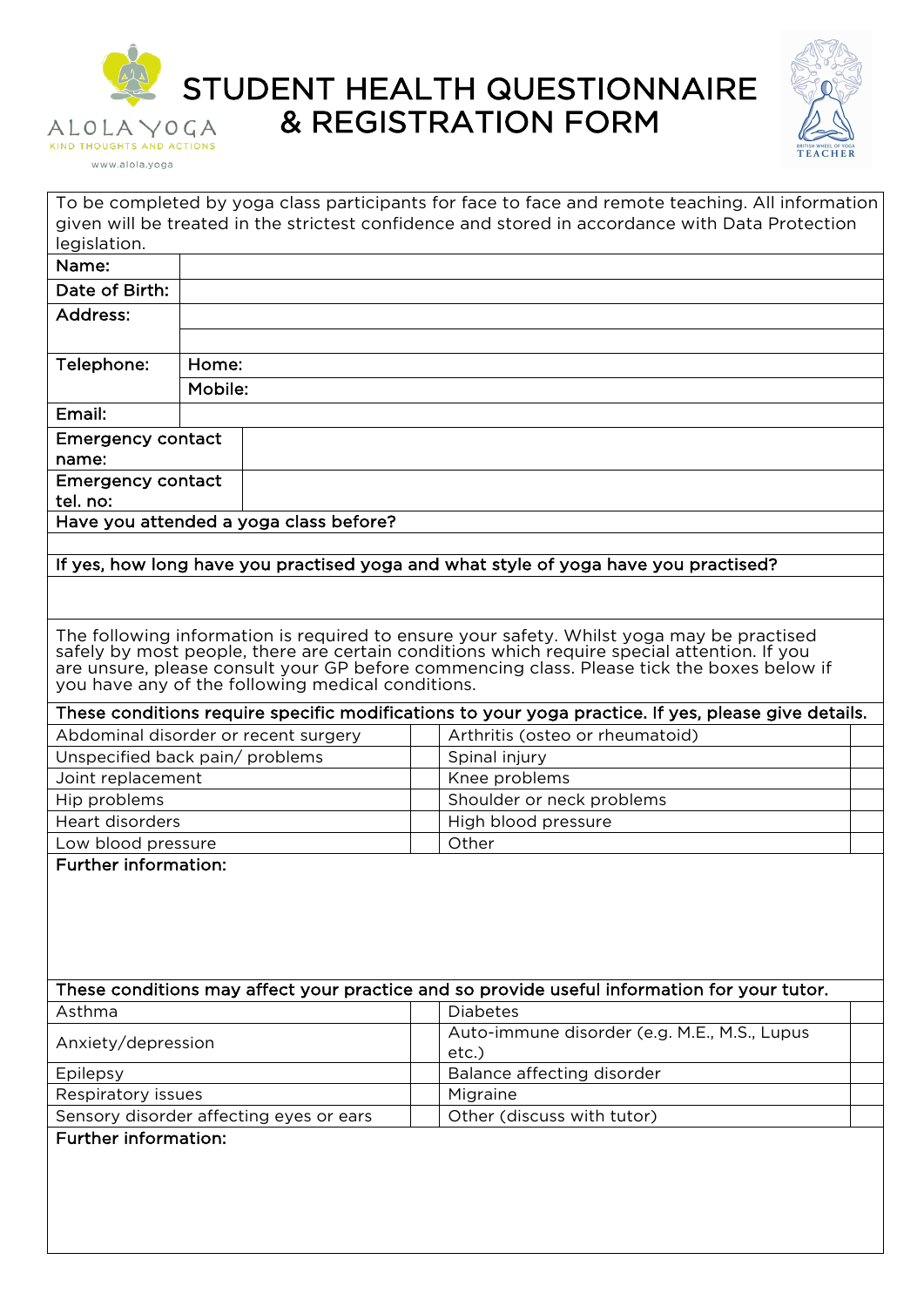

www.alola.yoga

STUDENT HEALTH QUESTIONNAIRE & REGISTRATION FORM



|                                                                                                                                                                                                                                                                                                                                             |         |  | To be completed by yoga class participants for face to face and remote teaching. All information<br>given will be treated in the strictest confidence and stored in accordance with Data Protection |  |  |  |  |
|---------------------------------------------------------------------------------------------------------------------------------------------------------------------------------------------------------------------------------------------------------------------------------------------------------------------------------------------|---------|--|-----------------------------------------------------------------------------------------------------------------------------------------------------------------------------------------------------|--|--|--|--|
| legislation.                                                                                                                                                                                                                                                                                                                                |         |  |                                                                                                                                                                                                     |  |  |  |  |
| Name:                                                                                                                                                                                                                                                                                                                                       |         |  |                                                                                                                                                                                                     |  |  |  |  |
| Date of Birth:                                                                                                                                                                                                                                                                                                                              |         |  |                                                                                                                                                                                                     |  |  |  |  |
| Address:                                                                                                                                                                                                                                                                                                                                    |         |  |                                                                                                                                                                                                     |  |  |  |  |
|                                                                                                                                                                                                                                                                                                                                             |         |  |                                                                                                                                                                                                     |  |  |  |  |
| Telephone:                                                                                                                                                                                                                                                                                                                                  | Home:   |  |                                                                                                                                                                                                     |  |  |  |  |
|                                                                                                                                                                                                                                                                                                                                             |         |  |                                                                                                                                                                                                     |  |  |  |  |
|                                                                                                                                                                                                                                                                                                                                             | Mobile: |  |                                                                                                                                                                                                     |  |  |  |  |
| Email:                                                                                                                                                                                                                                                                                                                                      |         |  |                                                                                                                                                                                                     |  |  |  |  |
| <b>Emergency contact</b>                                                                                                                                                                                                                                                                                                                    |         |  |                                                                                                                                                                                                     |  |  |  |  |
| name:                                                                                                                                                                                                                                                                                                                                       |         |  |                                                                                                                                                                                                     |  |  |  |  |
| <b>Emergency contact</b>                                                                                                                                                                                                                                                                                                                    |         |  |                                                                                                                                                                                                     |  |  |  |  |
| tel. no:                                                                                                                                                                                                                                                                                                                                    |         |  |                                                                                                                                                                                                     |  |  |  |  |
| Have you attended a yoga class before?                                                                                                                                                                                                                                                                                                      |         |  |                                                                                                                                                                                                     |  |  |  |  |
|                                                                                                                                                                                                                                                                                                                                             |         |  |                                                                                                                                                                                                     |  |  |  |  |
| If yes, how long have you practised yoga and what style of yoga have you practised?                                                                                                                                                                                                                                                         |         |  |                                                                                                                                                                                                     |  |  |  |  |
|                                                                                                                                                                                                                                                                                                                                             |         |  |                                                                                                                                                                                                     |  |  |  |  |
| The following information is required to ensure your safety. Whilst yoga may be practised<br>safely by most people, there are certain conditions which require special attention. If you<br>are unsure, please consult your GP before commencing class. Please tick the boxes below if<br>you have any of the following medical conditions. |         |  |                                                                                                                                                                                                     |  |  |  |  |
|                                                                                                                                                                                                                                                                                                                                             |         |  | These conditions require specific modifications to your yoga practice. If yes, please give details.                                                                                                 |  |  |  |  |
|                                                                                                                                                                                                                                                                                                                                             |         |  | Arthritis (osteo or rheumatoid)                                                                                                                                                                     |  |  |  |  |
| Abdominal disorder or recent surgery<br>Unspecified back pain/ problems                                                                                                                                                                                                                                                                     |         |  | Spinal injury                                                                                                                                                                                       |  |  |  |  |
| Joint replacement                                                                                                                                                                                                                                                                                                                           |         |  | Knee problems                                                                                                                                                                                       |  |  |  |  |
| Hip problems                                                                                                                                                                                                                                                                                                                                |         |  | Shoulder or neck problems                                                                                                                                                                           |  |  |  |  |
| <b>Heart disorders</b>                                                                                                                                                                                                                                                                                                                      |         |  | High blood pressure                                                                                                                                                                                 |  |  |  |  |
| Low blood pressure                                                                                                                                                                                                                                                                                                                          |         |  | Other                                                                                                                                                                                               |  |  |  |  |
|                                                                                                                                                                                                                                                                                                                                             |         |  |                                                                                                                                                                                                     |  |  |  |  |
| <b>Further information:</b>                                                                                                                                                                                                                                                                                                                 |         |  |                                                                                                                                                                                                     |  |  |  |  |
|                                                                                                                                                                                                                                                                                                                                             |         |  | These conditions may affect your practice and so provide useful information for your tutor.                                                                                                         |  |  |  |  |
| Asthma                                                                                                                                                                                                                                                                                                                                      |         |  | <b>Diabetes</b>                                                                                                                                                                                     |  |  |  |  |
| Anxiety/depression                                                                                                                                                                                                                                                                                                                          |         |  | Auto-immune disorder (e.g. M.E., M.S., Lupus<br>etc.)                                                                                                                                               |  |  |  |  |
| Epilepsy                                                                                                                                                                                                                                                                                                                                    |         |  | Balance affecting disorder                                                                                                                                                                          |  |  |  |  |
| Respiratory issues                                                                                                                                                                                                                                                                                                                          |         |  | Migraine                                                                                                                                                                                            |  |  |  |  |
| Sensory disorder affecting eyes or ears                                                                                                                                                                                                                                                                                                     |         |  | Other (discuss with tutor)                                                                                                                                                                          |  |  |  |  |
| <b>Further information:</b>                                                                                                                                                                                                                                                                                                                 |         |  |                                                                                                                                                                                                     |  |  |  |  |